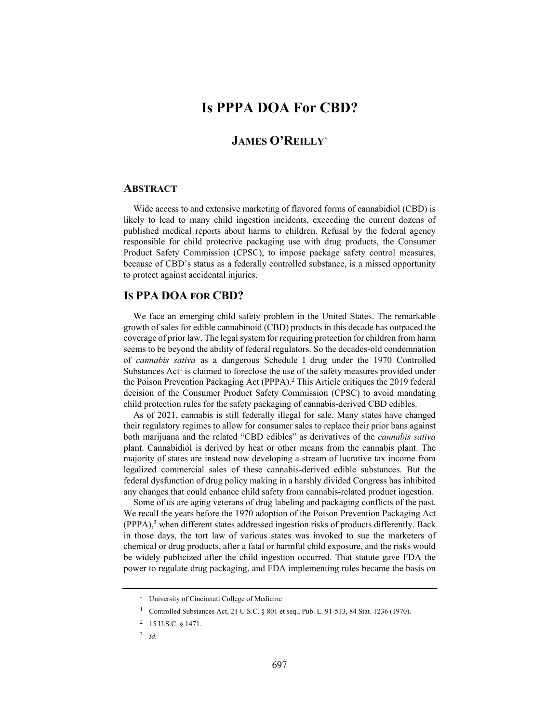## **Is PPPA DOA For CBD?**

## **JAMES O'REILLY\***

## **ABSTRACT**

Wide access to and extensive marketing of flavored forms of cannabidiol (CBD) is likely to lead to many child ingestion incidents, exceeding the current dozens of published medical reports about harms to children. Refusal by the federal agency responsible for child protective packaging use with drug products, the Consumer Product Safety Commission (CPSC), to impose package safety control measures, because of CBD's status as a federally controlled substance, is a missed opportunity to protect against accidental injuries.

## **IS PPA DOA FOR CBD?**

We face an emerging child safety problem in the United States. The remarkable growth of sales for edible cannabinoid (CBD) products in this decade has outpaced the coverage of prior law. The legal system for requiring protection for children from harm seems to be beyond the ability of federal regulators. So the decades-old condemnation of *cannabis sativa* as a dangerous Schedule I drug under the 1970 Controlled Substances  $Act<sup>1</sup>$  is claimed to foreclose the use of the safety measures provided under the Poison Prevention Packaging Act (PPPA).<sup>2</sup> This Article critiques the 2019 federal decision of the Consumer Product Safety Commission (CPSC) to avoid mandating child protection rules for the safety packaging of cannabis-derived CBD edibles.

As of 2021, cannabis is still federally illegal for sale. Many states have changed their regulatory regimes to allow for consumer sales to replace their prior bans against both marijuana and the related "CBD edibles" as derivatives of the *cannabis sativa* plant. Cannabidiol is derived by heat or other means from the cannabis plant. The majority of states are instead now developing a stream of lucrative tax income from legalized commercial sales of these cannabis-derived edible substances. But the federal dysfunction of drug policy making in a harshly divided Congress has inhibited any changes that could enhance child safety from cannabis-related product ingestion.

Some of us are aging veterans of drug labeling and packaging conflicts of the past. We recall the years before the 1970 adoption of the Poison Prevention Packaging Act (PPPA),<sup>3</sup> when different states addressed ingestion risks of products differently. Back in those days, the tort law of various states was invoked to sue the marketers of chemical or drug products, after a fatal or harmful child exposure, and the risks would be widely publicized after the child ingestion occurred. That statute gave FDA the power to regulate drug packaging, and FDA implementing rules became the basis on

<sup>\*</sup> University of Cincinnati College of Medicine

<sup>1</sup> Controlled Substances Act, 21 U.S.C. § 801 et seq., Pub. L. 91-513, 84 Stat. 1236 (1970).

<sup>2 15</sup> U.S.C. § 1471.

<sup>3</sup> *Id.*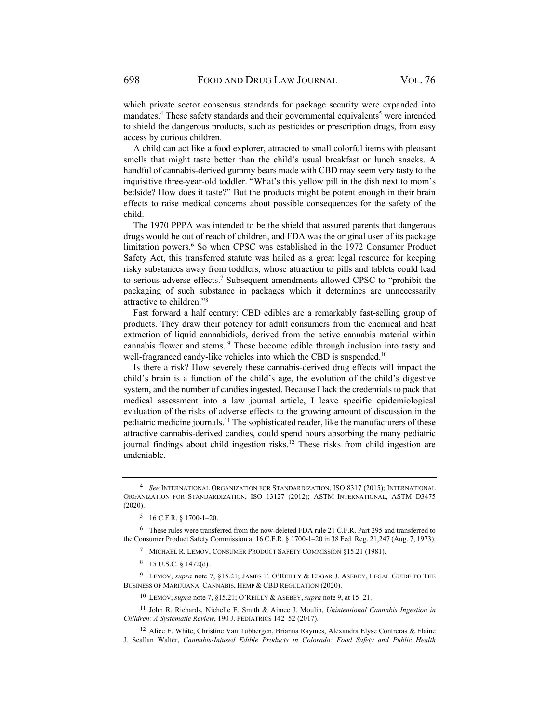which private sector consensus standards for package security were expanded into mandates.<sup>4</sup> These safety standards and their governmental equivalents<sup>5</sup> were intended to shield the dangerous products, such as pesticides or prescription drugs, from easy access by curious children.

A child can act like a food explorer, attracted to small colorful items with pleasant smells that might taste better than the child's usual breakfast or lunch snacks. A handful of cannabis-derived gummy bears made with CBD may seem very tasty to the inquisitive three-year-old toddler. "What's this yellow pill in the dish next to mom's bedside? How does it taste?" But the products might be potent enough in their brain effects to raise medical concerns about possible consequences for the safety of the child.

The 1970 PPPA was intended to be the shield that assured parents that dangerous drugs would be out of reach of children, and FDA was the original user of its package limitation powers.<sup>6</sup> So when CPSC was established in the 1972 Consumer Product Safety Act, this transferred statute was hailed as a great legal resource for keeping risky substances away from toddlers, whose attraction to pills and tablets could lead to serious adverse effects.<sup>7</sup> Subsequent amendments allowed CPSC to "prohibit the packaging of such substance in packages which it determines are unnecessarily attractive to children."8

Fast forward a half century: CBD edibles are a remarkably fast-selling group of products. They draw their potency for adult consumers from the chemical and heat extraction of liquid cannabidiols, derived from the active cannabis material within cannabis flower and stems. 9 These become edible through inclusion into tasty and well-fragranced candy-like vehicles into which the CBD is suspended.<sup>10</sup>

Is there a risk? How severely these cannabis-derived drug effects will impact the child's brain is a function of the child's age, the evolution of the child's digestive system, and the number of candies ingested. Because I lack the credentials to pack that medical assessment into a law journal article, I leave specific epidemiological evaluation of the risks of adverse effects to the growing amount of discussion in the pediatric medicine journals.11 The sophisticated reader, like the manufacturers of these attractive cannabis-derived candies, could spend hours absorbing the many pediatric journal findings about child ingestion risks.12 These risks from child ingestion are undeniable.

<sup>4</sup> *See* INTERNATIONAL ORGANIZATION FOR STANDARDIZATION, ISO 8317 (2015); INTERNATIONAL ORGANIZATION FOR STANDARDIZATION, ISO 13127 (2012); ASTM INTERNATIONAL, ASTM D3475 (2020).

<sup>5 16</sup> C.F.R. § 1700-1–20.

<sup>6</sup> These rules were transferred from the now-deleted FDA rule 21 C.F.R. Part 295 and transferred to the Consumer Product Safety Commission at 16 C.F.R. § 1700-1–20 in 38 Fed. Reg. 21,247 (Aug. 7, 1973).

<sup>7</sup> MICHAEL R. LEMOV, CONSUMER PRODUCT SAFETY COMMISSION §15.21 (1981).

<sup>8 15</sup> U.S.C. § 1472(d).

<sup>9</sup> LEMOV, *supra* note 7, §15.21; JAMES T. O'REILLY & EDGAR J. ASEBEY, LEGAL GUIDE TO THE BUSINESS OF MARIJUANA: CANNABIS, HEMP & CBD REGULATION (2020).

<sup>10</sup> LEMOV, *supra* note 7, §15.21; O'REILLY & ASEBEY, *supra* note 9, at 15–21.

<sup>11</sup> John R. Richards, Nichelle E. Smith & Aimee J. Moulin, *Unintentional Cannabis Ingestion in Children: A Systematic Review*, 190 J. PEDIATRICS 142–52 (2017).

<sup>&</sup>lt;sup>12</sup> Alice E. White, Christine Van Tubbergen, Brianna Raymes, Alexandra Elyse Contreras & Elaine J. Scallan Walter, *Cannabis-Infused Edible Products in Colorado: Food Safety and Public Health*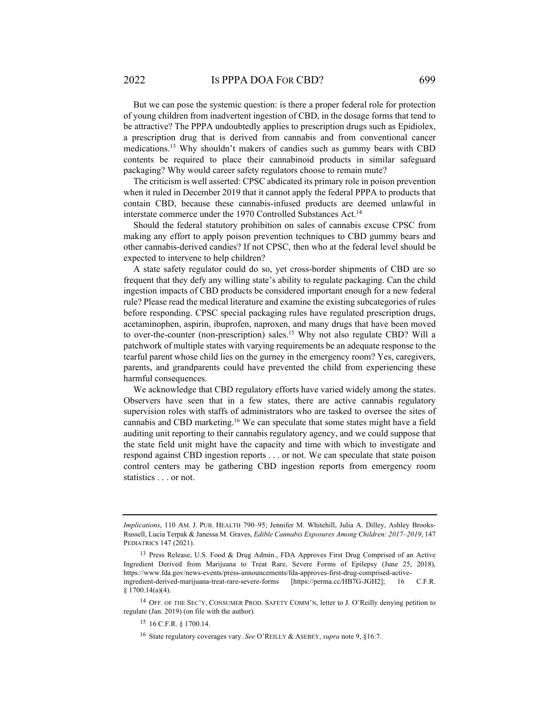But we can pose the systemic question: is there a proper federal role for protection of young children from inadvertent ingestion of CBD, in the dosage forms that tend to be attractive? The PPPA undoubtedly applies to prescription drugs such as Epidiolex, a prescription drug that is derived from cannabis and from conventional cancer medications.13 Why shouldn't makers of candies such as gummy bears with CBD contents be required to place their cannabinoid products in similar safeguard packaging? Why would career safety regulators choose to remain mute?

The criticism is well asserted: CPSC abdicated its primary role in poison prevention when it ruled in December 2019 that it cannot apply the federal PPPA to products that contain CBD, because these cannabis-infused products are deemed unlawful in interstate commerce under the 1970 Controlled Substances Act.<sup>14</sup>

Should the federal statutory prohibition on sales of cannabis excuse CPSC from making any effort to apply poison prevention techniques to CBD gummy bears and other cannabis-derived candies? If not CPSC, then who at the federal level should be expected to intervene to help children?

A state safety regulator could do so, yet cross-border shipments of CBD are so frequent that they defy any willing state's ability to regulate packaging. Can the child ingestion impacts of CBD products be considered important enough for a new federal rule? Please read the medical literature and examine the existing subcategories of rules before responding. CPSC special packaging rules have regulated prescription drugs, acetaminophen, aspirin, ibuprofen, naproxen, and many drugs that have been moved to over-the-counter (non-prescription) sales.<sup>15</sup> Why not also regulate CBD? Will a patchwork of multiple states with varying requirements be an adequate response to the tearful parent whose child lies on the gurney in the emergency room? Yes, caregivers, parents, and grandparents could have prevented the child from experiencing these harmful consequences.

We acknowledge that CBD regulatory efforts have varied widely among the states. Observers have seen that in a few states, there are active cannabis regulatory supervision roles with staffs of administrators who are tasked to oversee the sites of cannabis and CBD marketing.16 We can speculate that some states might have a field auditing unit reporting to their cannabis regulatory agency, and we could suppose that the state field unit might have the capacity and time with which to investigate and respond against CBD ingestion reports . . . or not. We can speculate that state poison control centers may be gathering CBD ingestion reports from emergency room statistics . . . or not.

14 OFF. OF THE SEC'Y, CONSUMER PROD. SAFETY COMM'N, letter to J. O'Reilly denying petition to regulate (Jan. 2019) (on file with the author).

*Implications*, 110 AM. J. PUB. HEALTH 790–95; Jennifer M. Whitehill, Julia A. Dilley, Ashley Brooks-Russell, Lucia Terpak & Janessa M. Graves, *Edible Cannabis Exposures Among Children: 2017–2019*, 147 PEDIATRICS 147 (2021).

<sup>13</sup> Press Release, U.S. Food & Drug Admin., FDA Approves First Drug Comprised of an Active Ingredient Derived from Marijuana to Treat Rare, Severe Forms of Epilepsy (June 25, 2018), https://www.fda.gov/news-events/press-announcements/fda-approves-first-drug-comprised-activeingredient-derived-marijuana-treat-rare-severe-forms [https://perma.cc/HB7G-JGH2]; 16 C.F.R.  $§ 1700.14(a)(4).$ 

<sup>15 16</sup> C.F.R. § 1700.14.

<sup>16</sup> State regulatory coverages vary. *See* O'REILLY & ASEBEY, *supra* note 9, §16:7.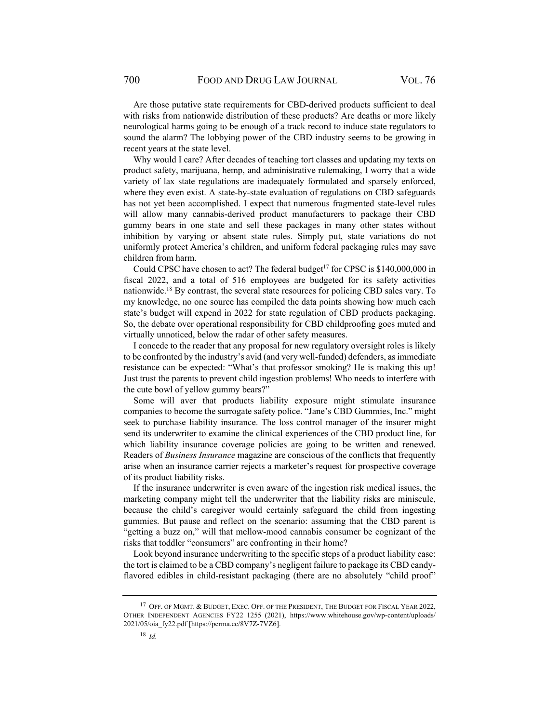Are those putative state requirements for CBD-derived products sufficient to deal with risks from nationwide distribution of these products? Are deaths or more likely neurological harms going to be enough of a track record to induce state regulators to sound the alarm? The lobbying power of the CBD industry seems to be growing in recent years at the state level.

Why would I care? After decades of teaching tort classes and updating my texts on product safety, marijuana, hemp, and administrative rulemaking, I worry that a wide variety of lax state regulations are inadequately formulated and sparsely enforced, where they even exist. A state-by-state evaluation of regulations on CBD safeguards has not yet been accomplished. I expect that numerous fragmented state-level rules will allow many cannabis-derived product manufacturers to package their CBD gummy bears in one state and sell these packages in many other states without inhibition by varying or absent state rules. Simply put, state variations do not uniformly protect America's children, and uniform federal packaging rules may save children from harm.

Could CPSC have chosen to act? The federal budget<sup>17</sup> for CPSC is \$140,000,000 in fiscal 2022, and a total of 516 employees are budgeted for its safety activities nationwide.18 By contrast, the several state resources for policing CBD sales vary. To my knowledge, no one source has compiled the data points showing how much each state's budget will expend in 2022 for state regulation of CBD products packaging. So, the debate over operational responsibility for CBD childproofing goes muted and virtually unnoticed, below the radar of other safety measures.

I concede to the reader that any proposal for new regulatory oversight roles is likely to be confronted by the industry's avid (and very well-funded) defenders, as immediate resistance can be expected: "What's that professor smoking? He is making this up! Just trust the parents to prevent child ingestion problems! Who needs to interfere with the cute bowl of yellow gummy bears?"

Some will aver that products liability exposure might stimulate insurance companies to become the surrogate safety police. "Jane's CBD Gummies, Inc." might seek to purchase liability insurance. The loss control manager of the insurer might send its underwriter to examine the clinical experiences of the CBD product line, for which liability insurance coverage policies are going to be written and renewed. Readers of *Business Insurance* magazine are conscious of the conflicts that frequently arise when an insurance carrier rejects a marketer's request for prospective coverage of its product liability risks.

If the insurance underwriter is even aware of the ingestion risk medical issues, the marketing company might tell the underwriter that the liability risks are miniscule, because the child's caregiver would certainly safeguard the child from ingesting gummies. But pause and reflect on the scenario: assuming that the CBD parent is "getting a buzz on," will that mellow-mood cannabis consumer be cognizant of the risks that toddler "consumers" are confronting in their home?

Look beyond insurance underwriting to the specific steps of a product liability case: the tort is claimed to be a CBD company's negligent failure to package its CBD candyflavored edibles in child-resistant packaging (there are no absolutely "child proof"

<sup>&</sup>lt;sup>17</sup> OFF. OF MGMT. & BUDGET, EXEC. OFF. OF THE PRESIDENT, THE BUDGET FOR FISCAL YEAR 2022, OTHER INDEPENDENT AGENCIES FY22 1255 (2021), https://www.whitehouse.gov/wp-content/uploads/ 2021/05/oia\_fy22.pdf [https://perma.cc/8V7Z-7VZ6].

<sup>18</sup> *Id.*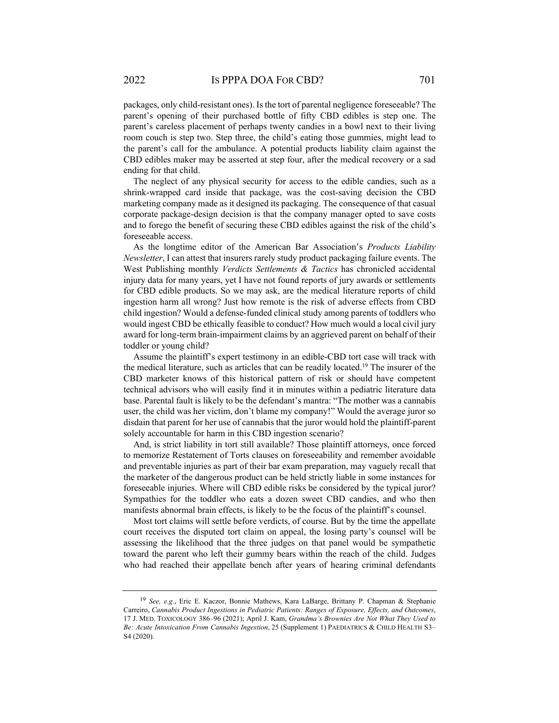packages, only child-resistant ones). Is the tort of parental negligence foreseeable? The parent's opening of their purchased bottle of fifty CBD edibles is step one. The parent's careless placement of perhaps twenty candies in a bowl next to their living room couch is step two. Step three, the child's eating those gummies, might lead to the parent's call for the ambulance. A potential products liability claim against the CBD edibles maker may be asserted at step four, after the medical recovery or a sad ending for that child.

The neglect of any physical security for access to the edible candies, such as a shrink-wrapped card inside that package, was the cost-saving decision the CBD marketing company made as it designed its packaging. The consequence of that casual corporate package-design decision is that the company manager opted to save costs and to forego the benefit of securing these CBD edibles against the risk of the child's foreseeable access.

As the longtime editor of the American Bar Association's *Products Liability Newsletter*, I can attest that insurers rarely study product packaging failure events. The West Publishing monthly *Verdicts Settlements & Tactics* has chronicled accidental injury data for many years, yet I have not found reports of jury awards or settlements for CBD edible products. So we may ask, are the medical literature reports of child ingestion harm all wrong? Just how remote is the risk of adverse effects from CBD child ingestion? Would a defense-funded clinical study among parents of toddlers who would ingest CBD be ethically feasible to conduct? How much would a local civil jury award for long-term brain-impairment claims by an aggrieved parent on behalf of their toddler or young child?

Assume the plaintiff's expert testimony in an edible-CBD tort case will track with the medical literature, such as articles that can be readily located.<sup>19</sup> The insurer of the CBD marketer knows of this historical pattern of risk or should have competent technical advisors who will easily find it in minutes within a pediatric literature data base. Parental fault is likely to be the defendant's mantra: "The mother was a cannabis user, the child was her victim, don't blame my company!" Would the average juror so disdain that parent for her use of cannabis that the juror would hold the plaintiff-parent solely accountable for harm in this CBD ingestion scenario?

And, is strict liability in tort still available? Those plaintiff attorneys, once forced to memorize Restatement of Torts clauses on foreseeability and remember avoidable and preventable injuries as part of their bar exam preparation, may vaguely recall that the marketer of the dangerous product can be held strictly liable in some instances for foreseeable injuries. Where will CBD edible risks be considered by the typical juror? Sympathies for the toddler who eats a dozen sweet CBD candies, and who then manifests abnormal brain effects, is likely to be the focus of the plaintiff's counsel.

Most tort claims will settle before verdicts, of course. But by the time the appellate court receives the disputed tort claim on appeal, the losing party's counsel will be assessing the likelihood that the three judges on that panel would be sympathetic toward the parent who left their gummy bears within the reach of the child. Judges who had reached their appellate bench after years of hearing criminal defendants

<sup>19</sup> *See, e.g*., Eric E. Kaczor, Bonnie Mathews, Kara LaBarge, Brittany P. Chapman & Stephanie Carreiro, *Cannabis Product Ingestions in Pediatric Patients: Ranges of Exposure, Effects, and Outcomes*, 17 J. MED. TOXICOLOGY 386–96 (2021); April J. Kam, *Grandma's Brownies Are Not What They Used to Be: Acute Intoxication From Cannabis Ingestion*, 25 (Supplement 1) PAEDIATRICS & CHILD HEALTH S3– S4 (2020).